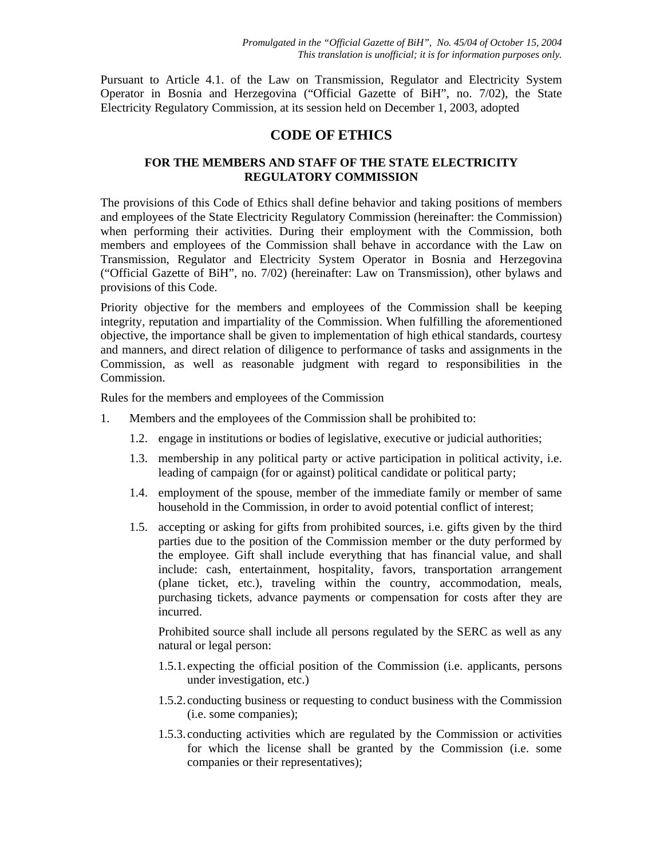Pursuant to Article 4.1. of the Law on Transmission, Regulator and Electricity System Operator in Bosnia and Herzegovina ("Official Gazette of BiH", no. 7/02), the State Electricity Regulatory Commission, at its session held on December 1, 2003, adopted

## **CODE OF ETHICS**

## **FOR THE MEMBERS AND STAFF OF THE STATE ELECTRICITY REGULATORY COMMISSION**

The provisions of this Code of Ethics shall define behavior and taking positions of members and employees of the State Electricity Regulatory Commission (hereinafter: the Commission) when performing their activities. During their employment with the Commission, both members and employees of the Commission shall behave in accordance with the Law on Transmission, Regulator and Electricity System Operator in Bosnia and Herzegovina ("Official Gazette of BiH", no. 7/02) (hereinafter: Law on Transmission), other bylaws and provisions of this Code.

Priority objective for the members and employees of the Commission shall be keeping integrity, reputation and impartiality of the Commission. When fulfilling the aforementioned objective, the importance shall be given to implementation of high ethical standards, courtesy and manners, and direct relation of diligence to performance of tasks and assignments in the Commission, as well as reasonable judgment with regard to responsibilities in the Commission.

Rules for the members and employees of the Commission

- 1. Members and the employees of the Commission shall be prohibited to:
	- 1.2. engage in institutions or bodies of legislative, executive or judicial authorities;
	- 1.3. membership in any political party or active participation in political activity, i.e. leading of campaign (for or against) political candidate or political party;
	- 1.4. employment of the spouse, member of the immediate family or member of same household in the Commission, in order to avoid potential conflict of interest;
	- 1.5. accepting or asking for gifts from prohibited sources, i.e. gifts given by the third parties due to the position of the Commission member or the duty performed by the employee. Gift shall include everything that has financial value, and shall include: cash, entertainment, hospitality, favors, transportation arrangement (plane ticket, etc.), traveling within the country, accommodation, meals, purchasing tickets, advance payments or compensation for costs after they are incurred.

Prohibited source shall include all persons regulated by the SERC as well as any natural or legal person:

- 1.5.1. expecting the official position of the Commission (i.e. applicants, persons under investigation, etc.)
- 1.5.2. conducting business or requesting to conduct business with the Commission (i.e. some companies);
- 1.5.3. conducting activities which are regulated by the Commission or activities for which the license shall be granted by the Commission (i.e. some companies or their representatives);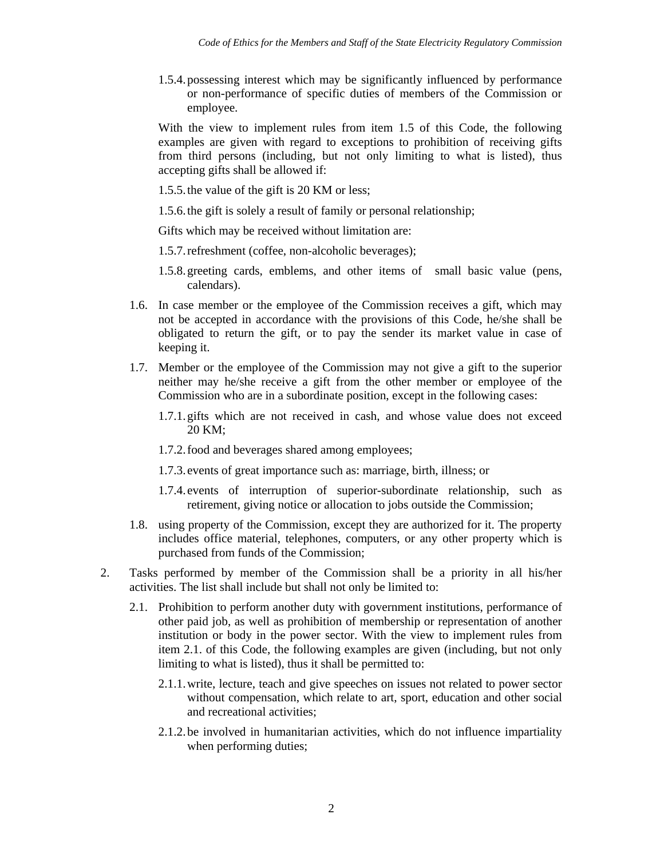1.5.4.possessing interest which may be significantly influenced by performance or non-performance of specific duties of members of the Commission or employee.

With the view to implement rules from item 1.5 of this Code, the following examples are given with regard to exceptions to prohibition of receiving gifts from third persons (including, but not only limiting to what is listed), thus accepting gifts shall be allowed if:

- 1.5.5.the value of the gift is 20 KM or less;
- 1.5.6.the gift is solely a result of family or personal relationship;

Gifts which may be received without limitation are:

- 1.5.7.refreshment (coffee, non-alcoholic beverages);
- 1.5.8.greeting cards, emblems, and other items of small basic value (pens, calendars).
- 1.6. In case member or the employee of the Commission receives a gift, which may not be accepted in accordance with the provisions of this Code, he/she shall be obligated to return the gift, or to pay the sender its market value in case of keeping it.
- 1.7. Member or the employee of the Commission may not give a gift to the superior neither may he/she receive a gift from the other member or employee of the Commission who are in a subordinate position, except in the following cases:
	- 1.7.1.gifts which are not received in cash, and whose value does not exceed 20 KM;
	- 1.7.2.food and beverages shared among employees;
	- 1.7.3. events of great importance such as: marriage, birth, illness; or
	- 1.7.4. events of interruption of superior-subordinate relationship, such as retirement, giving notice or allocation to jobs outside the Commission;
- 1.8. using property of the Commission, except they are authorized for it. The property includes office material, telephones, computers, or any other property which is purchased from funds of the Commission;
- 2. Tasks performed by member of the Commission shall be a priority in all his/her activities. The list shall include but shall not only be limited to:
	- 2.1. Prohibition to perform another duty with government institutions, performance of other paid job, as well as prohibition of membership or representation of another institution or body in the power sector. With the view to implement rules from item 2.1. of this Code, the following examples are given (including, but not only limiting to what is listed), thus it shall be permitted to:
		- 2.1.1.write, lecture, teach and give speeches on issues not related to power sector without compensation, which relate to art, sport, education and other social and recreational activities;
		- 2.1.2.be involved in humanitarian activities, which do not influence impartiality when performing duties;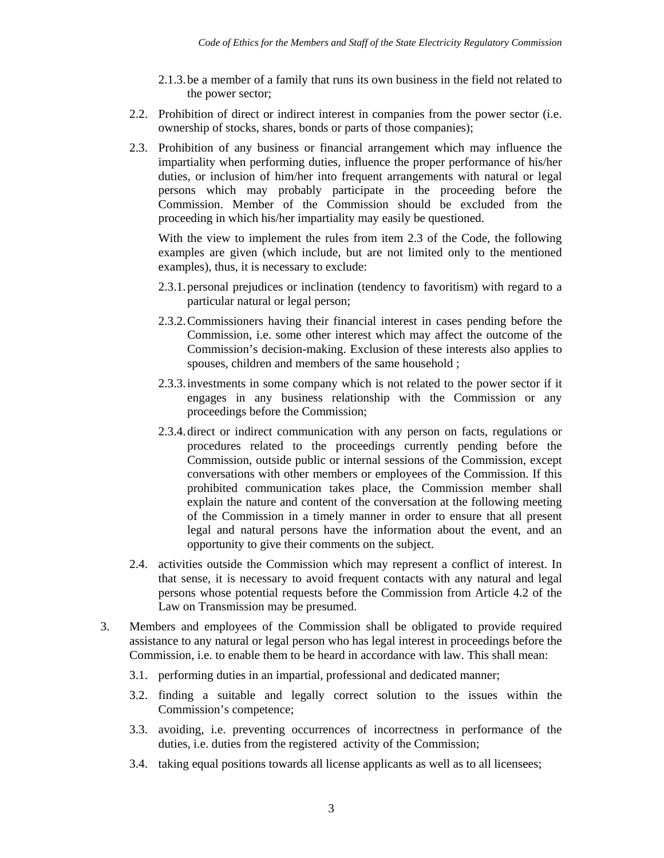- 2.1.3.be a member of a family that runs its own business in the field not related to the power sector;
- 2.2. Prohibition of direct or indirect interest in companies from the power sector (i.e. ownership of stocks, shares, bonds or parts of those companies);
- 2.3. Prohibition of any business or financial arrangement which may influence the impartiality when performing duties, influence the proper performance of his/her duties, or inclusion of him/her into frequent arrangements with natural or legal persons which may probably participate in the proceeding before the Commission. Member of the Commission should be excluded from the proceeding in which his/her impartiality may easily be questioned.

With the view to implement the rules from item 2.3 of the Code, the following examples are given (which include, but are not limited only to the mentioned examples), thus, it is necessary to exclude:

- 2.3.1.personal prejudices or inclination (tendency to favoritism) with regard to a particular natural or legal person;
- 2.3.2.Commissioners having their financial interest in cases pending before the Commission, i.e. some other interest which may affect the outcome of the Commission's decision-making. Exclusion of these interests also applies to spouses, children and members of the same household ;
- 2.3.3.investments in some company which is not related to the power sector if it engages in any business relationship with the Commission or any proceedings before the Commission;
- 2.3.4.direct or indirect communication with any person on facts, regulations or procedures related to the proceedings currently pending before the Commission, outside public or internal sessions of the Commission, except conversations with other members or employees of the Commission. If this prohibited communication takes place, the Commission member shall explain the nature and content of the conversation at the following meeting of the Commission in a timely manner in order to ensure that all present legal and natural persons have the information about the event, and an opportunity to give their comments on the subject.
- 2.4. activities outside the Commission which may represent a conflict of interest. In that sense, it is necessary to avoid frequent contacts with any natural and legal persons whose potential requests before the Commission from Article 4.2 of the Law on Transmission may be presumed.
- 3. Members and employees of the Commission shall be obligated to provide required assistance to any natural or legal person who has legal interest in proceedings before the Commission, i.e. to enable them to be heard in accordance with law. This shall mean:
	- 3.1. performing duties in an impartial, professional and dedicated manner;
	- 3.2. finding a suitable and legally correct solution to the issues within the Commission's competence;
	- 3.3. avoiding, i.e. preventing occurrences of incorrectness in performance of the duties, i.e. duties from the registered activity of the Commission;
	- 3.4. taking equal positions towards all license applicants as well as to all licensees;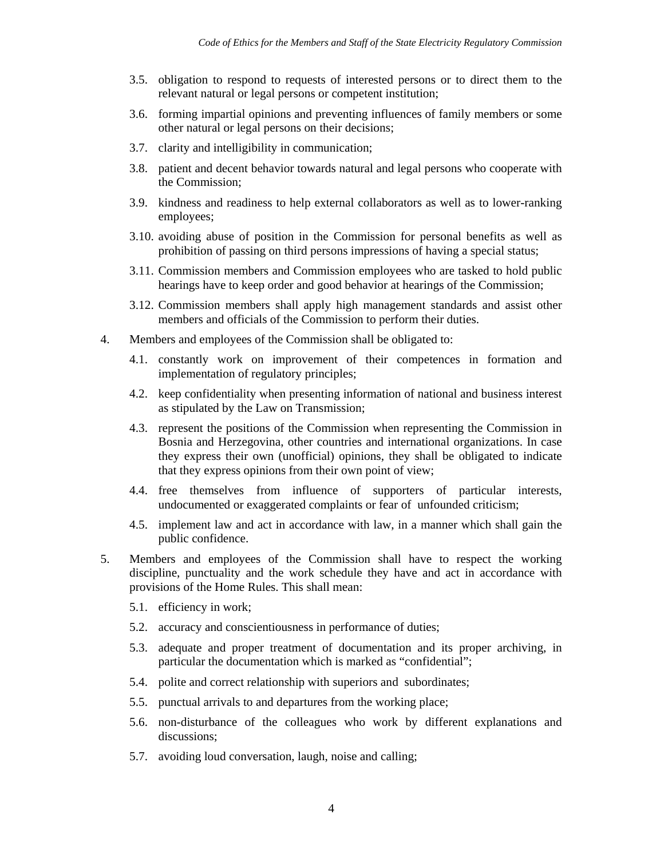- 3.5. obligation to respond to requests of interested persons or to direct them to the relevant natural or legal persons or competent institution;
- 3.6. forming impartial opinions and preventing influences of family members or some other natural or legal persons on their decisions;
- 3.7. clarity and intelligibility in communication;
- 3.8. patient and decent behavior towards natural and legal persons who cooperate with the Commission;
- 3.9. kindness and readiness to help external collaborators as well as to lower-ranking employees;
- 3.10. avoiding abuse of position in the Commission for personal benefits as well as prohibition of passing on third persons impressions of having a special status;
- 3.11. Commission members and Commission employees who are tasked to hold public hearings have to keep order and good behavior at hearings of the Commission;
- 3.12. Commission members shall apply high management standards and assist other members and officials of the Commission to perform their duties.
- 4. Members and employees of the Commission shall be obligated to:
	- 4.1. constantly work on improvement of their competences in formation and implementation of regulatory principles;
	- 4.2. keep confidentiality when presenting information of national and business interest as stipulated by the Law on Transmission;
	- 4.3. represent the positions of the Commission when representing the Commission in Bosnia and Herzegovina, other countries and international organizations. In case they express their own (unofficial) opinions, they shall be obligated to indicate that they express opinions from their own point of view;
	- 4.4. free themselves from influence of supporters of particular interests, undocumented or exaggerated complaints or fear of unfounded criticism;
	- 4.5. implement law and act in accordance with law, in a manner which shall gain the public confidence.
- 5. Members and employees of the Commission shall have to respect the working discipline, punctuality and the work schedule they have and act in accordance with provisions of the Home Rules. This shall mean:
	- 5.1. efficiency in work;
	- 5.2. accuracy and conscientiousness in performance of duties;
	- 5.3. adequate and proper treatment of documentation and its proper archiving, in particular the documentation which is marked as "confidential";
	- 5.4. polite and correct relationship with superiors and subordinates;
	- 5.5. punctual arrivals to and departures from the working place;
	- 5.6. non-disturbance of the colleagues who work by different explanations and discussions;
	- 5.7. avoiding loud conversation, laugh, noise and calling;